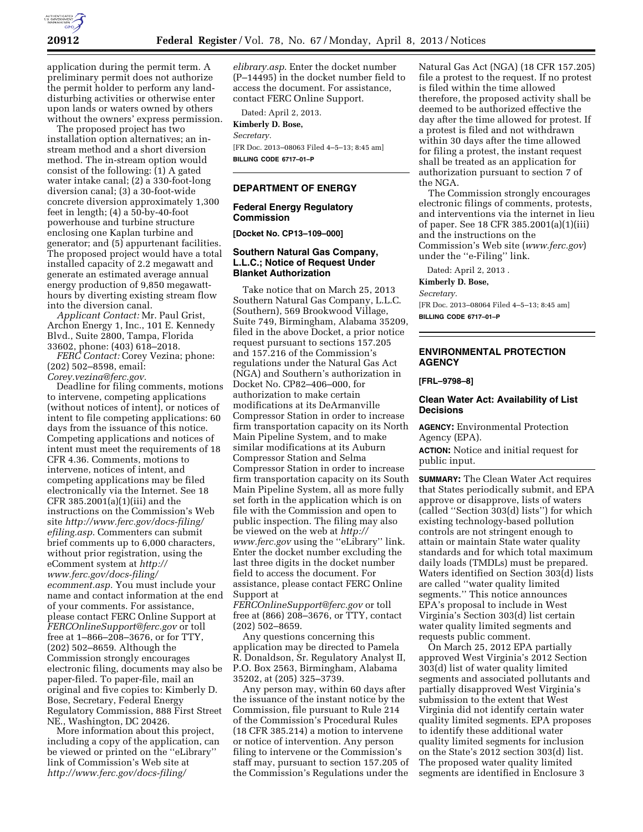

application during the permit term. A preliminary permit does not authorize the permit holder to perform any landdisturbing activities or otherwise enter upon lands or waters owned by others without the owners' express permission.

The proposed project has two installation option alternatives; an instream method and a short diversion method. The in-stream option would consist of the following: (1) A gated water intake canal; (2) a 330-foot-long diversion canal; (3) a 30-foot-wide concrete diversion approximately 1,300 feet in length; (4) a 50-by-40-foot powerhouse and turbine structure enclosing one Kaplan turbine and generator; and (5) appurtenant facilities. The proposed project would have a total installed capacity of 2.2 megawatt and generate an estimated average annual energy production of 9,850 megawatthours by diverting existing stream flow into the diversion canal.

*Applicant Contact:* Mr. Paul Grist, Archon Energy 1, Inc., 101 E. Kennedy Blvd., Suite 2800, Tampa, Florida 33602, phone: (403) 618–2018.

*FERC Contact:* Corey Vezina; phone: (202) 502–8598, email: *[Corey.vezina@ferc.gov.](mailto:Corey.vezina@ferc.gov)* 

Deadline for filing comments, motions to intervene, competing applications (without notices of intent), or notices of intent to file competing applications: 60 days from the issuance of this notice. Competing applications and notices of intent must meet the requirements of 18 CFR 4.36. Comments, motions to intervene, notices of intent, and competing applications may be filed electronically via the Internet. See 18 CFR 385.2001(a)(1)(iii) and the instructions on the Commission's Web site *[http://www.ferc.gov/docs-filing/](http://www.ferc.gov/docs-filing/efiling.asp) [efiling.asp.](http://www.ferc.gov/docs-filing/efiling.asp)* Commenters can submit brief comments up to 6,000 characters, without prior registration, using the eComment system at *[http://](http://www.ferc.gov/docs-filing/ecomment.asp) [www.ferc.gov/docs-filing/](http://www.ferc.gov/docs-filing/ecomment.asp)  [ecomment.asp.](http://www.ferc.gov/docs-filing/ecomment.asp)* You must include your name and contact information at the end of your comments. For assistance, please contact FERC Online Support at *[FERCOnlineSupport@ferc.gov](mailto:FERCOnlineSupport@ferc.gov)* or toll free at 1–866–208–3676, or for TTY, (202) 502–8659. Although the Commission strongly encourages electronic filing, documents may also be paper-filed. To paper-file, mail an original and five copies to: Kimberly D. Bose, Secretary, Federal Energy Regulatory Commission, 888 First Street NE., Washington, DC 20426.

More information about this project, including a copy of the application, can be viewed or printed on the ''eLibrary'' link of Commission's Web site at *[http://www.ferc.gov/docs-filing/](http://www.ferc.gov/docs-filing/elibrary.asp)* 

*[elibrary.asp](http://www.ferc.gov/docs-filing/elibrary.asp)*. Enter the docket number (P–14495) in the docket number field to access the document. For assistance, contact FERC Online Support.

Dated: April 2, 2013. **Kimberly D. Bose,**  *Secretary.*  [FR Doc. 2013–08063 Filed 4–5–13; 8:45 am]

**BILLING CODE 6717–01–P** 

#### **DEPARTMENT OF ENERGY**

#### **Federal Energy Regulatory Commission**

**[Docket No. CP13–109–000]** 

### **Southern Natural Gas Company, L.L.C.; Notice of Request Under Blanket Authorization**

Take notice that on March 25, 2013 Southern Natural Gas Company, L.L.C. (Southern), 569 Brookwood Village, Suite 749, Birmingham, Alabama 35209, filed in the above Docket, a prior notice request pursuant to sections 157.205 and 157.216 of the Commission's regulations under the Natural Gas Act (NGA) and Southern's authorization in Docket No. CP82–406–000, for authorization to make certain modifications at its DeArmanville Compressor Station in order to increase firm transportation capacity on its North Main Pipeline System, and to make similar modifications at its Auburn Compressor Station and Selma Compressor Station in order to increase firm transportation capacity on its South Main Pipeline System, all as more fully set forth in the application which is on file with the Commission and open to public inspection. The filing may also be viewed on the web at *[http://](http://www.ferc.gov)  [www.ferc.gov](http://www.ferc.gov)* using the ''eLibrary'' link. Enter the docket number excluding the last three digits in the docket number field to access the document. For assistance, please contact FERC Online Support at

*[FERCOnlineSupport@ferc.gov](mailto:FERCOnlineSupport@ferc.gov)* or toll free at (866) 208–3676, or TTY, contact (202) 502–8659.

Any questions concerning this application may be directed to Pamela R. Donaldson, Sr. Regulatory Analyst II, P.O. Box 2563, Birmingham, Alabama 35202, at (205) 325–3739.

Any person may, within 60 days after the issuance of the instant notice by the Commission, file pursuant to Rule 214 of the Commission's Procedural Rules (18 CFR 385.214) a motion to intervene or notice of intervention. Any person filing to intervene or the Commission's staff may, pursuant to section 157.205 of the Commission's Regulations under the Natural Gas Act (NGA) (18 CFR 157.205) file a protest to the request. If no protest is filed within the time allowed therefore, the proposed activity shall be deemed to be authorized effective the day after the time allowed for protest. If a protest is filed and not withdrawn within 30 days after the time allowed for filing a protest, the instant request shall be treated as an application for authorization pursuant to section 7 of the NGA.

The Commission strongly encourages electronic filings of comments, protests, and interventions via the internet in lieu of paper. See 18 CFR 385.2001(a)(1)(iii) and the instructions on the Commission's Web site (*[www.ferc.gov](http://www.ferc.gov)*) under the ''e-Filing'' link.

Dated: April 2, 2013 .

**Kimberly D. Bose,** 

*Secretary.*  [FR Doc. 2013–08064 Filed 4–5–13; 8:45 am] **BILLING CODE 6717–01–P** 

# **ENVIRONMENTAL PROTECTION AGENCY**

#### **[FRL–9798–8]**

### **Clean Water Act: Availability of List Decisions**

**AGENCY:** Environmental Protection Agency (EPA).

**ACTION:** Notice and initial request for public input.

**SUMMARY:** The Clean Water Act requires that States periodically submit, and EPA approve or disapprove, lists of waters (called ''Section 303(d) lists'') for which existing technology-based pollution controls are not stringent enough to attain or maintain State water quality standards and for which total maximum daily loads (TMDLs) must be prepared. Waters identified on Section 303(d) lists are called ''water quality limited segments.'' This notice announces EPA's proposal to include in West Virginia's Section 303(d) list certain water quality limited segments and requests public comment.

On March 25, 2012 EPA partially approved West Virginia's 2012 Section 303(d) list of water quality limited segments and associated pollutants and partially disapproved West Virginia's submission to the extent that West Virginia did not identify certain water quality limited segments. EPA proposes to identify these additional water quality limited segments for inclusion on the State's 2012 section 303(d) list. The proposed water quality limited segments are identified in Enclosure 3